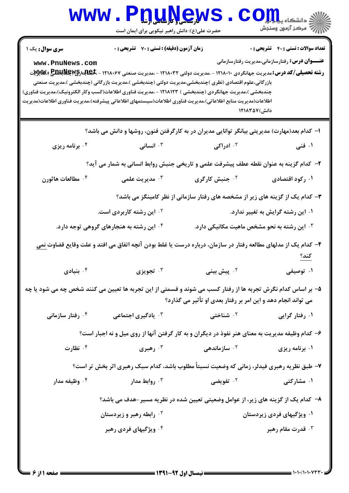|                                           | www.P <u>nuŅe</u> ws<br>حضرت علی(ع): دانش راهبر نیکویی برای ایمان است                                                                                                                                                                                                                                                                                                                                                                                                                                             |                                                                                                                                             | $\mathbf{CO}_{\mathbf{H}}$ و دانشڪاه پيام<br>  /W مرکز آزمون وسنجش                                     |
|-------------------------------------------|-------------------------------------------------------------------------------------------------------------------------------------------------------------------------------------------------------------------------------------------------------------------------------------------------------------------------------------------------------------------------------------------------------------------------------------------------------------------------------------------------------------------|---------------------------------------------------------------------------------------------------------------------------------------------|--------------------------------------------------------------------------------------------------------|
| <b>سری سوال :</b> یک ۱<br>www.PnuNews.com | زمان آزمون (دقیقه) : تستی : 70 گشریحی : 0<br><b>رشته تحصیلی/کد درس:</b> مدیریت جهانگردی ۱۲۱۸۰۱۰ - ،مدیریت دولتی ۱۲۱۸۰۳۲ - ،مدیریت صنعتی ۱۲۱۸۰۶۷ - <del>گیابارگیMپلیلی</del> ک<br>بازرگانی،علوم اقتصادی (نظری )چندبخشی،مدیریت دولتی (چندبخشی )،مدیریت بازرگانی (چندبخشی )،مدیریت صنعتی<br>چندبخشی )،مدیریت جهانگردی (چندبخشی ) ۱۲۱۸۱۲۳ - ،مدیریت فناوری اطلاعات(کسب وکار الکترونیک)،مدیریت فناوری)<br>اطلاعات(مديريت منابع اطلاعاتي)،مديريت فناوري اطلاعات(سيستمهاي اطلاعاتي پيشرفته)،مديريت فناوري اطلاعات(مديريت | دانش) ۱۲۱۸۳۵۷                                                                                                                               | <b>تعداد سوالات : تستی : 40 - تشریحی : 0</b><br><b>عنــــوان درس:</b> رفتارسازمانی،مدیریت رفتارسازمانی |
| ۰۴ برنامه ریزی                            | ا– کدام بعد(مهارت) مدیریتی بیانگر توانایی مدیران در به کارگرفتن فنون، روشها و دانش می باشد؟<br>انسانی $\cdot$                                                                                                                                                                                                                                                                                                                                                                                                     | ۰ <sup>۲</sup> ادراکی                                                                                                                       | ۰۱ فنی                                                                                                 |
| ۰۴ مطالعات هاثورن                         | ۲- کدام گزینه به عنوان نقطه عطف پیشرفت علمی و تاریخی جنبش روابط انسانی به شمار می آید؟<br>۰ <sup>۳</sup> مدیریت علمی                                                                                                                                                                                                                                                                                                                                                                                              | ۰ <sup>۲</sup> جنبش کارگری                                                                                                                  | ۰۱ رکود اقتصادی                                                                                        |
|                                           | <sup>۲ .</sup> این رشته کاربردی است.<br>۰۴ این رشته به هنجارهای گروهی توجه دارد.                                                                                                                                                                                                                                                                                                                                                                                                                                  | ۳- کدام یک از گزینه های زیر از مشخصه های رفتار سازمانی از نظر کامینگز می باشد؟<br>۰ <sup>۳ .</sup> این رشته به نحو مشخص ماهیت مکانیکی دارد. | ۰۱ این رشته گرایش به تغییر ندارد.                                                                      |
| بنیادی $\cdot$ ۴ $\cdot$                  | ۴– کدام یک از مدلهای مطالعه رفتار در سازمان، درباره درست یا غلط بودن آنچه اتفاق می افتد و علت وقایع قضاوت <u>نمی</u>                                                                                                                                                                                                                                                                                                                                                                                              | یش بینی سیست پرویزی $\cdot^{\mathsf{y}}$ تجویزی $\cdot^{\mathsf{y}}$                                                                        | ۰۱ توصیفی                                                                                              |
|                                           | ۵– بر اساس کدام نگرش تجربه ها از رفتار کسب می شوند و قسمتی از این تجربه ها تعیین می کنند شخص چه می شود یا چه                                                                                                                                                                                                                                                                                                                                                                                                      | می تواند انجام دهد و این امر بر رفتار بعدی او تأثیر می گذارد؟                                                                               |                                                                                                        |
| ۰ <sup>۴</sup> رفتار سازمانی              | <b>۰۳ یادگیری اجتماعی</b>                                                                                                                                                                                                                                                                                                                                                                                                                                                                                         | ۰ <sup>۲</sup> شناختی                                                                                                                       | ۰۱ رفتار گرایی                                                                                         |
| ۰۴ نظارت                                  | ۶- کدام وظیفه مدیریت به معنای هنر نفوذ در دیگران و به کار گرفتن آنها از روی میل و نه اجبار است؟                                                                                                                                                                                                                                                                                                                                                                                                                   |                                                                                                                                             |                                                                                                        |
|                                           | رهبری $\cdot^{\mathsf{r}}$<br>۷- طبق نظریه رهبری فیدلر، زمانی که وضعیت نسبتاً مطلوب باشد، کدام سبک رهبری اثر بخش تر است؟                                                                                                                                                                                                                                                                                                                                                                                          | ۰ <sup>۲</sup> سازمانده <sub>ی</sub>                                                                                                        | ۰۱ برنامه ریزی                                                                                         |
| ۰ <sup>۴</sup> وظیفه مدار                 | روابط مدار $\cdot$ ۳                                                                                                                                                                                                                                                                                                                                                                                                                                                                                              | ۰ <sup>۲</sup> تفویضی                                                                                                                       | ۰۱ مشارکتی                                                                                             |
|                                           | ۸– کدام یک از گزینه های زیر، از عوامل وضعیتی تعیین شده در نظریه مسیر –هدف می باشد؟                                                                                                                                                                                                                                                                                                                                                                                                                                |                                                                                                                                             |                                                                                                        |
|                                           | <sup>۲.</sup> رابطه رهبر و زیردستان                                                                                                                                                                                                                                                                                                                                                                                                                                                                               |                                                                                                                                             | ۰۱ ویژگیهای فردی زیردستان                                                                              |
|                                           | ۰۴ ویژگیهای فردی رهبر                                                                                                                                                                                                                                                                                                                                                                                                                                                                                             |                                                                                                                                             | تا قدرت مقام رهبر $\cdot$                                                                              |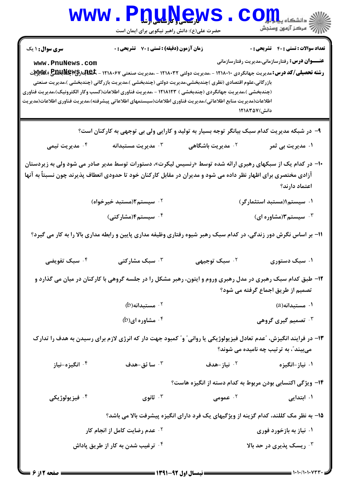| <b>WWW</b>                                                                                                                                                                                                                                                            | <b>۷ لارتسمبر و نارهامگی از شاه</b><br>حضرت علی(ع): دانش راهبر نیکویی برای ایمان است |                                                                                                                                                                                                                                                                | ۵ دانشکاه پ <b>یا ب<sup>ا</sup> تو</b><br>رُ⁄ کرڪز آزمون وسنڊش                                        |  |
|-----------------------------------------------------------------------------------------------------------------------------------------------------------------------------------------------------------------------------------------------------------------------|--------------------------------------------------------------------------------------|----------------------------------------------------------------------------------------------------------------------------------------------------------------------------------------------------------------------------------------------------------------|-------------------------------------------------------------------------------------------------------|--|
| <b>سری سوال : ۱ یک</b><br>www.PnuNews.com<br>(چندبخشی )،مدیریت جهانگردی (چندبخشی ) ۱۲۱۸۱۲۳ - ،مدیریت فناوری اطلاعات(کسب وکار الکترونیک)،مدیریت فناوری<br>اطلاعات(مديريت منابع اطلاعاتي)،مديريت فناورى اطلاعات(سيستمهاى اطلاعاتي پيشرفته)،مديريت فناورى اطلاعات(مديريت | <b>زمان آزمون (دقیقه) : تستی : 70 گشریحی : 0</b>                                     | <b>رشته تحصیلی/کد درس:</b> مدیریت جهانگردی ۱۲۱۸۰۱۰ - ،مدیریت دولتی ۱۲۱۸۰۳۲ - ،مدیریت صنعتی ۱۲۱۸۰۶۷ - <del>گیابارگیMEXI</del> W، ایلاس<br>بازرگانی،علوم اقتصادی (نظری )چندبخشی،مدیریت دولتی (چندبخشی )،مدیریت بازرگانی (چندبخشی )،مدیریت صنعتی<br>دانش) ۱۲۱۸۳۵۷ | <b>تعداد سوالات : تستی : 40 ٪ تشریحی : 0</b><br><b>عنـــوان درس:</b> رفتارسازمانی،مدیریت رفتارسازمانی |  |
| ۹- در شبکه مدیریت کدام سبک بیانگر توجه بسیار به تولید و کارایی ولی بی توجهی به کارکنان است؟                                                                                                                                                                           |                                                                                      |                                                                                                                                                                                                                                                                |                                                                                                       |  |
| ۰ <sup>۴</sup> مدیریت تیمی                                                                                                                                                                                                                                            | ەدىرىت مستبدانە $\cdot$                                                              | ۰ <sup>۲</sup> مدیریت باشگاهی                                                                                                                                                                                                                                  | ۱. مدیریت بی ثمر                                                                                      |  |
| +۱- در کدام یک از سبکهای رهبری ارائه شده توسط «رنسیس لیکرت»، دستورات توسط مدیر صادر می شود ولی به زیردستان<br>آزادی مختصری برای اظهار نظر داده می شود و مدیران در مقابل کارکنان خود تا حدودی انعطاف پذیرند چون نسبتاً به آنها<br>اعتماد دارند؟                        |                                                                                      |                                                                                                                                                                                                                                                                |                                                                                                       |  |
|                                                                                                                                                                                                                                                                       | ۰ <sup>۲</sup> سیستم۲(مستبد خیرخواه)                                                 |                                                                                                                                                                                                                                                                | ۰۱ سیستم۱(مستبد استثم <mark>ار</mark> گر)                                                             |  |
|                                                                                                                                                                                                                                                                       | ۰ <sup>۴</sup> سیستم۴(مشارکتی)                                                       |                                                                                                                                                                                                                                                                | ۰۳ سیستم۳(مشاوره ای)                                                                                  |  |
| 11- بر اساس نگرش دور زندگی، در کدام سبک رهبر شیوه رفتاری وظیفه مداری پایین و رابطه مداری بالا را به کار می گیرد؟                                                                                                                                                      |                                                                                      |                                                                                                                                                                                                                                                                |                                                                                                       |  |
| ۰۴ سبک تفویضی                                                                                                                                                                                                                                                         | سبک مشارکتی $\cdot^{\mathsf{y}}$                                                     | ۰۲ سبک توجیهی                                                                                                                                                                                                                                                  | ۰۱ سبک دستوری                                                                                         |  |
|                                                                                                                                                                                                                                                                       |                                                                                      | ۱۲- طبق کدام سبک رهبری در مدل رهبری وروم و ایتون، رهبر مشکل را در جلسه گروهی با کارکنان در میان می گذارد و                                                                                                                                                     | تصمیم از طریق اجماع گرفته می شود؟                                                                     |  |
|                                                                                                                                                                                                                                                                       | $(b)$ هستبدانه $\cdot$ ۲                                                             |                                                                                                                                                                                                                                                                | ۰۱ مستبدانه(a)                                                                                        |  |
|                                                                                                                                                                                                                                                                       | $(b)$ شاوره ای (b) . <sup>۴</sup>                                                    |                                                                                                                                                                                                                                                                | ۰ <sup>۳</sup> تصمیم گیری گروهی                                                                       |  |
| ۱۳– در فرایند انگیزش، "عدم تعادل فیزیولوژیکی یا روانی" و" کمبود جهت دار که انرژی لازم برای رسیدن به هدف را تدارک<br>میبیند ؒ، به ترتیب چه نامیده می شوند؟                                                                                                             |                                                                                      |                                                                                                                                                                                                                                                                |                                                                                                       |  |
| ۰۴ انگیزه-نیاز                                                                                                                                                                                                                                                        | سا ئق-هدف $\cdot$ "                                                                  | ۰ <sup>۲</sup> نیاز-هدف                                                                                                                                                                                                                                        | ۰۱ نیاز –انگیزه                                                                                       |  |
|                                                                                                                                                                                                                                                                       |                                                                                      | ۱۴– ویژگی اکتسابی بودن مربوط به کدام دسته از انگیزه هاست؟                                                                                                                                                                                                      |                                                                                                       |  |
| ۰۴ فيزيولوژيکي                                                                                                                                                                                                                                                        | ا ثانوی $\cdot$                                                                      | ۰۲ عمومی                                                                                                                                                                                                                                                       | ۰۱ ابتدایی                                                                                            |  |
|                                                                                                                                                                                                                                                                       |                                                                                      | ۱۵– به نظر مک کللند، کدام گزینه از ویژگیهای یک فرد دارای انگیزه پیشرفت بالا می باشد؟                                                                                                                                                                           |                                                                                                       |  |
|                                                                                                                                                                                                                                                                       | <b>۲ . عدم رضایت کامل از انجام کار</b>                                               |                                                                                                                                                                                                                                                                | ۰۱ نیاز به بازخورد فوری                                                                               |  |
|                                                                                                                                                                                                                                                                       | ۰ <sup>۲</sup> ترغیب شدن به کار از طریق پاداش                                        |                                                                                                                                                                                                                                                                | ۰۳ ریسک پذیری در حد بالا                                                                              |  |

٠.

 $\mathcal{L}$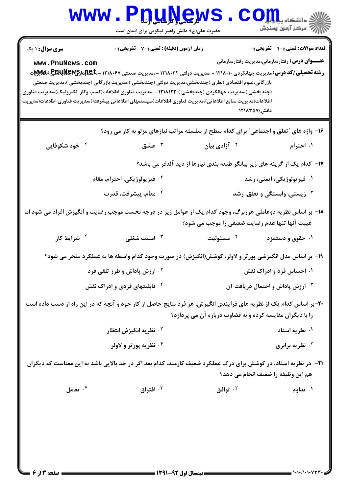| <b>WWW</b>                        | <b>DUNGWS</b><br>حضرت علی(ع): دانش راهبر نیکویی برای ایمان است                                                                                                                                                                                                                                                                                                                                                                                                                                              |                                                          | $\textcolor{red}{\mathbf{C}}$ انشکاه پی $\textcolor{red}{\mathbf{L}}$                                                                          |
|-----------------------------------|-------------------------------------------------------------------------------------------------------------------------------------------------------------------------------------------------------------------------------------------------------------------------------------------------------------------------------------------------------------------------------------------------------------------------------------------------------------------------------------------------------------|----------------------------------------------------------|------------------------------------------------------------------------------------------------------------------------------------------------|
| سری سوال: ۱ یک<br>www.PnuNews.com | زمان آزمون (دقیقه) : تستی : 70 ٪ تشریحی : 0<br><b>رشته تحصیلی/کد درس:</b> مدیریت جهانگردی ۱۲۱۸۰۱۰ - ،مدیریت دولتی ۱۲۱۸۰۳۲ - ،مدیریت صنعتی ۱۲۱۸۰۶۷ - WEX بکلاچلالالچی WA<br>بازرگانی،علوم اقتصادی (نظری )چندبخشی،مدیریت دولتی (چندبخشی )،مدیریت بازرگانی (چندبخشی )،مدیریت صنعتی<br>(چندبخشی )،مدیریت جهانگردی (چندبخشی ) ۱۲۱۸۱۲۳ - ،مدیریت فناوری اطلاعات(کسب وکار الکترونیک)،مدیریت فناوری<br>اطلاعات(مديريت منابع اطلاعاتي)،مديريت فناوري اطلاعات(سيستمهاي اطلاعاتي پيشرفته)،مديريت فناوري اطلاعات(مديريت | دانش) ۱۲۱۸۳۵۷                                            | <b>تعداد سوالات : تستی : 40 قشریحی : 0</b><br><b>عنــــوان درس:</b> رفتارسازمانی،مدیریت رفتارسازمانی                                           |
| ۰۴ خود شکوفایی                    | ۱۶- واژه های "تعلق و اجتماعی" برای کدام سطح از سلسله مراتب نیازهای مزلو به کار می رود؟<br>عشق $\cdot$ ۳                                                                                                                                                                                                                                                                                                                                                                                                     | ۰۲ آزادی بیان                                            | ۰۱ احترام                                                                                                                                      |
|                                   | <sup>۲.</sup> فیزیولوژیکی، احترام، مقام<br>۰۴ مقام، پیشرفت، قدرت<br>۱۸– بر اساس نظریه دوعاملی هرزبرگ، وجود کدام یک از عوامل زیر در درجه نخست موجب رضایت و انگیزش افراد می شود اما                                                                                                                                                                                                                                                                                                                           | غیبت آنها تنها عدم رضایت ضعیفی را موجب می شود؟           | ۱۷– کدام یک از گزینه های زیر بیانگر طبقه بندی نیازها از دید آلدفر می باشد؟<br>۰۱ فیزیولوژیکی، ایمنی، رشد<br>زیستی، وابستگی و تعلق، رشد $\cdot$ |
| ۰ <sup>۴</sup> شرایط کار          | امنیت شغلی $\cdot^{\mathtt{v}}$                                                                                                                                                                                                                                                                                                                                                                                                                                                                             | ۰ <sup>۲</sup> مسئوليت                                   | ۰۱ حقوق و دستمزد                                                                                                                               |
|                                   | ۱۹- بر اساس مدل انگیزشی پورتر و لاولر، کوشش(انگیزش) در صورت وجود کدام واسطه ها به عملکرد منجر می شود؟<br><b>10 ارزش پاداش و طرز تلقی فرد</b><br><sup>۴ .</sup> قابلیتهای فردی و ادراک نقش                                                                                                                                                                                                                                                                                                                   |                                                          | ۰۱ احساس فرد و ادراک نقش<br>۰ <sup>۳</sup> ارزش پاداش و احتمال دریافت آن                                                                       |
|                                   | ۲۰-بر اساس کدام یک از نظریه های فرایندی انگیزش، هر فرد نتایج حاصل از کار خود و آنچه که در این راه از دست داده است<br>۰ <sup>۲</sup> نظریه انگیزش انتظار<br>۰۴ نظریه پورتر و لاولر                                                                                                                                                                                                                                                                                                                           | را با دیگران مقایسه کرده و به قضاوت درباره آن می پردازد؟ | ۰۱ نظریه اسناد<br>نظریه برابری $\cdot$ ۳                                                                                                       |
|                                   | <b>۲۱</b> - در نظریه اسناد، در کوشش برای درک عملکرد ضعیف کارمند، کدام بعد اگر در حد بالایی باشد به این معناست که دیگران                                                                                                                                                                                                                                                                                                                                                                                     |                                                          | هم این وظیفه را ضعیف انجام می دهد؟                                                                                                             |
| ۰۴ تعامل                          | افتراق $\cdot$ "                                                                                                                                                                                                                                                                                                                                                                                                                                                                                            | ۰ <sup>۲</sup> توافق                                     | ۰۱ تداوم                                                                                                                                       |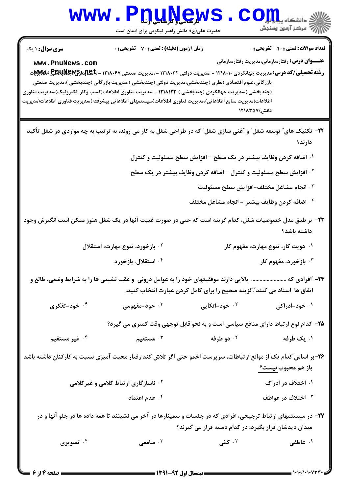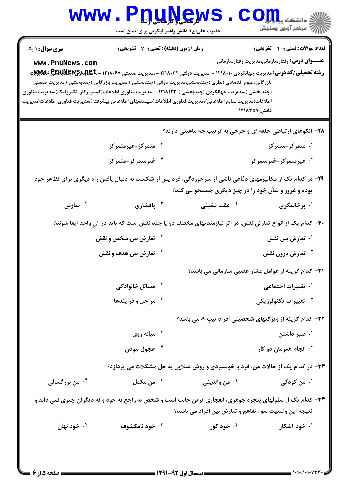| <b>WWW.</b>            | <b>QULYCW</b><br>حضرت علی(ع): دانش راهبر نیکویی برای ایمان است                                                                                                                                                                                 |                                                                | S <b>OIL</b><br>رآب مرڪز آزمون وسنڊش                   |
|------------------------|------------------------------------------------------------------------------------------------------------------------------------------------------------------------------------------------------------------------------------------------|----------------------------------------------------------------|--------------------------------------------------------|
| <b>سری سوال : ۱ یک</b> | <b>زمان آزمون (دقیقه) : تستی : 70 قشریحی : 0</b>                                                                                                                                                                                               |                                                                | <b>تعداد سوالات : تستي : 40 ٪ تشریحي : 0</b>           |
| www.PnuNews.com        | <b>رشته تحصیلی/کد درس:</b> مدیریت جهانگردی ۱۲۱۸۰۱۰ - ،مدیریت دولتی ۱۲۱۸۰۳۲ - ،مدیریت صنعتی ۱۲۱۸۰۶۷ - <b>تکابلدارکیMEXE با پیسپر</b> یت<br>بازرگانی،علوم اقتصادی (نظری )چندبخشی،مدیریت دولتی (چندبخشی )،مدیریت بازرگانی (چندبخشی )،مدیریت صنعتی |                                                                | <b>عنــــوان درس:</b> رفتارسازمانی،مدیریت رفتارسازمانی |
|                        | (چندبخشی )،مدیریت جهانگردی (چندبخشی ) ۱۲۱۸۱۲۳ - ،مدیریت فناوری اطلاعات(کسب وکار الکترونیک)،مدیریت فناوری<br>اطلاعات(مديريت منابع اطلاعاتي)،مديريت فناوري اطلاعات(سيستمهاي اطلاعاتي پيشرفته)،مديريت فناوري اطلاعات(مديريت                       | دانش) ۱۲۱۸۳۵۷                                                  |                                                        |
|                        |                                                                                                                                                                                                                                                | ۲۸- الگوهای ارتباطی حلقه ای و چرخی به ترتیب چه ماهیتی دارند؟   |                                                        |
|                        | ۰ <sup>۲</sup> متمرکز-غیرمتمرکز                                                                                                                                                                                                                |                                                                | ۰۱ متمرکز-متمرکز                                       |
|                        | ۰ <sup>۴</sup> غیرمتمرکز-متمرکز                                                                                                                                                                                                                |                                                                | ۰ <sup>۳</sup> غیرمتمرکز-غیرمتمرکز                     |
|                        | ۲۹- در کدام یک از مکانیزمهای دفاعی ناشی از سرخوردگی، فرد پس از شکست به دنبال یافتن راه دیگری برای تظاهر خود                                                                                                                                    | بوده و غرور و شأن خود را در چیز دیگری جستجو می کند؟            |                                                        |
| سازش $\cdot$ ۴         | بافشاری $\cdot$                                                                                                                                                                                                                                | ۰ <sup>۲</sup> عقب نشینی                                       | ۰۱ پرخاشگری                                            |
|                        | ۳۰– کدام یک از انواع تعارض نقش، در اثر نیازمندیهای مختلف دو یا چند نقش است که باید در آنِ واحد ایفا شوند؟                                                                                                                                      |                                                                |                                                        |
|                        | <sup>۲</sup> ۰ تعارض بین شخص و نقش                                                                                                                                                                                                             |                                                                | ۰۱ تعارض بین نقش                                       |
|                        | ۰۴ تعارض بین هدف و نقش                                                                                                                                                                                                                         |                                                                | تعارض درون نقش $\cdot^{\mathsf{\texttt{v}}}$           |
|                        |                                                                                                                                                                                                                                                | <b>۳۱</b> - کدام گزینه از عوامل فشار عصبی سازمانی می باشد؟     |                                                        |
|                        | ۰ <sup>۲</sup> مسائل خانوادگی                                                                                                                                                                                                                  |                                                                | ۰۱ تغییرات اجتماعی                                     |
|                        | ۰۴ مراحل و فرایندها                                                                                                                                                                                                                            |                                                                | نغييرات تكنولوژيكى $\cdot^{\mathsf{\texttt{v}}}$       |
|                        |                                                                                                                                                                                                                                                | <b>۳۲</b> - کدام گزینه از ویژگیهای شخصیتی افراد تیپ A می باشد؟ |                                                        |
|                        | میانه روی $\cdot$ ۲                                                                                                                                                                                                                            |                                                                | ۰۱ صبر داشتن                                           |
|                        | ۰۴ عجول نبودن                                                                                                                                                                                                                                  |                                                                | انجام همزمان دو کار $\cdot$ ۳                          |
|                        | ۳۳- در کدام یک از حالات من، فرد با خونسردی و روش عقلایی به حل مشکلات می پردازد؟                                                                                                                                                                |                                                                |                                                        |
| ۰۴ من بزرگسالی         | ن مکمل $\cdot$ "                                                                                                                                                                                                                               | <sup>٢</sup> ٠ من والديني                                      | ۰۱ من کودکی                                            |
|                        | ۳۴- کدام یک از سلولهای پنجره جوهری، انفجاری ترین حالت است و شخص نه راجع به خود و نه دیگران چیزی نمی داند و                                                                                                                                     | نتیجه این وضعیت سوء تفاهم و تعارض بین افراد می باشد؟           |                                                        |
| ۰۴ خود نهان            | ۰۳ خود نامکشوف                                                                                                                                                                                                                                 | ۰۲ خود کور                                                     | ۰۱ خود آشکار                                           |
|                        |                                                                                                                                                                                                                                                |                                                                |                                                        |
|                        |                                                                                                                                                                                                                                                |                                                                |                                                        |

 $= 1.1.11.1.1477$